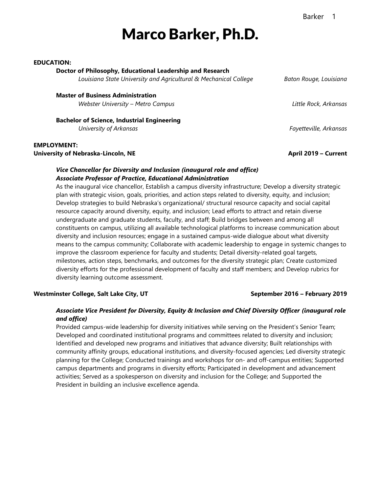# Barker 1

# Marco Barker, Ph.D.

#### **EDUCATION:**

#### **Doctor of Philosophy, Educational Leadership and Research**

*Louisiana State University and Agricultural & Mechanical College Baton Rouge, Louisiana*

**Master of Business Administration** *Webster University – Metro Campus Little Rock, Arkansas*

**Bachelor of Science, Industrial Engineering** *University of Arkansas Fayetteville, Arkansas*

**EMPLOYMENT: University of Nebraska-Lincoln, NE April 2019 – Current**

### *Vice Chancellor for Diversity and Inclusion (inaugural role and office) Associate Professor of Practice, Educational Administration*

As the inaugural vice chancellor, Establish a campus diversity infrastructure; Develop a diversity strategic plan with strategic vision, goals, priorities, and action steps related to diversity, equity, and inclusion; Develop strategies to build Nebraska's organizational/ structural resource capacity and social capital resource capacity around diversity, equity, and inclusion; Lead efforts to attract and retain diverse undergraduate and graduate students, faculty, and staff; Build bridges between and among all constituents on campus, utilizing all available technological platforms to increase communication about diversity and inclusion resources; engage in a sustained campus-wide dialogue about what diversity means to the campus community; Collaborate with academic leadership to engage in systemic changes to improve the classroom experience for faculty and students; Detail diversity-related goal targets, milestones, action steps, benchmarks, and outcomes for the diversity strategic plan; Create customized diversity efforts for the professional development of faculty and staff members; and Develop rubrics for diversity learning outcome assessment.

#### **Westminster College, Salt Lake City, UT September 2016 – February 2019**

### *Associate Vice President for Diversity, Equity & Inclusion and Chief Diversity Officer (inaugural role and office)*

Provided campus-wide leadership for diversity initiatives while serving on the President's Senior Team; Developed and coordinated institutional programs and committees related to diversity and inclusion; Identified and developed new programs and initiatives that advance diversity; Built relationships with community affinity groups, educational institutions, and diversity-focused agencies; Led diversity strategic planning for the College; Conducted trainings and workshops for on- and off-campus entities; Supported campus departments and programs in diversity efforts; Participated in development and advancement activities; Served as a spokesperson on diversity and inclusion for the College; and Supported the President in building an inclusive excellence agenda.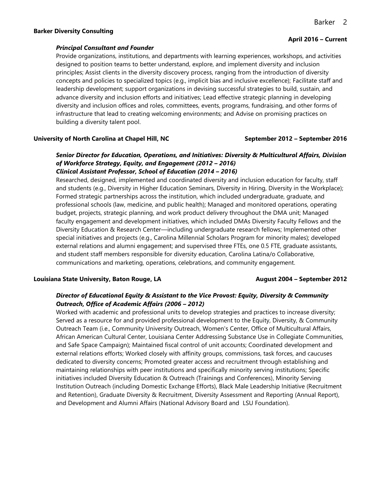#### **Barker Diversity Consulting**

#### *Principal Consultant and Founder*

Provide organizations, institutions, and departments with learning experiences, workshops, and activities designed to position teams to better understand, explore, and implement diversity and inclusion principles; Assist clients in the diversity discovery process, ranging from the introduction of diversity concepts and policies to specialized topics (e.g., implicit bias and inclusive excellence); Facilitate staff and leadership development; support organizations in devising successful strategies to build, sustain, and advance diversity and inclusion efforts and initiatives; Lead effective strategic planning in developing diversity and inclusion offices and roles, committees, events, programs, fundraising, and other forms of infrastructure that lead to creating welcoming environments; and Advise on promising practices on building a diversity talent pool.

#### **University of North Carolina at Chapel Hill, NC September 2012 – September 2016**

# *Senior Director for Education, Operations, and Initiatives: Diversity & Multicultural Affairs, Division of Workforce Strategy, Equity, and Engagement (2012 – 2016) Clinical Assistant Professor, School of Education (2014 – 2016)*

Researched, designed, implemented and coordinated diversity and inclusion education for faculty, staff and students (e.g., Diversity in Higher Education Seminars, Diversity in Hiring, Diversity in the Workplace); Formed strategic partnerships across the institution, which included undergraduate, graduate, and professional schools (law, medicine, and public health); Managed and monitored operations, operating budget, projects, strategic planning, and work product delivery throughout the DMA unit; Managed faculty engagement and development initiatives, which included DMAs Diversity Faculty Fellows and the Diversity Education & Research Center—including undergraduate research fellows; Implemented other special initiatives and projects (e.g., Carolina Millennial Scholars Program for minority males); developed external relations and alumni engagement; and supervised three FTEs, one 0.5 FTE, graduate assistants, and student staff members responsible for diversity education, Carolina Latina/o Collaborative, communications and marketing, operations, celebrations, and community engagement.

### **Louisiana State University, Baton Rouge, LA August 2004 – September 2012**

# *Director of Educational Equity & Assistant to the Vice Provost: Equity, Diversity & Community Outreach, Office of Academic Affairs (2006 – 2012)*

Worked with academic and professional units to develop strategies and practices to increase diversity; Served as a resource for and provided professional development to the Equity, Diversity, & Community Outreach Team (i.e., Community University Outreach, Women's Center, Office of Multicultural Affairs, African American Cultural Center, Louisiana Center Addressing Substance Use in Collegiate Communities, and Safe Space Campaign); Maintained fiscal control of unit accounts; Coordinated development and external relations efforts; Worked closely with affinity groups, commissions, task forces, and caucuses dedicated to diversity concerns; Promoted greater access and recruitment through establishing and maintaining relationships with peer institutions and specifically minority serving institutions; Specific initiatives included Diversity Education & Outreach (Trainings and Conferences), Minority Serving Institution Outreach (including Domestic Exchange Efforts), Black Male Leadership Initiative (Recruitment and Retention), Graduate Diversity & Recruitment, Diversity Assessment and Reporting (Annual Report), and Development and Alumni Affairs (National Advisory Board and LSU Foundation).

#### **April 2016 – Current**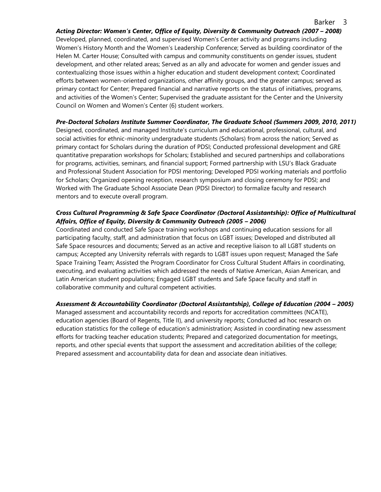# *Acting Director: Women's Center, Office of Equity, Diversity & Community Outreach (2007 – 2008)* Developed, planned, coordinated, and supervised Women's Center activity and programs including Women's History Month and the Women's Leadership Conference; Served as building coordinator of the Helen M. Carter House; Consulted with campus and community constituents on gender issues, student development, and other related areas; Served as an ally and advocate for women and gender issues and contextualizing those issues within a higher education and student development context; Coordinated efforts between women-oriented organizations, other affinity groups, and the greater campus; served as primary contact for Center; Prepared financial and narrative reports on the status of initiatives, programs, and activities of the Women's Center; Supervised the graduate assistant for the Center and the University Council on Women and Women's Center (6) student workers.

# *Pre-Doctoral Scholars Institute Summer Coordinator, The Graduate School (Summers 2009, 2010, 2011)*

Designed, coordinated, and managed Institute's curriculum and educational, professional, cultural, and social activities for ethnic-minority undergraduate students (Scholars) from across the nation; Served as primary contact for Scholars during the duration of PDSI; Conducted professional development and GRE quantitative preparation workshops for Scholars; Established and secured partnerships and collaborations for programs, activities, seminars, and financial support; Formed partnership with LSU's Black Graduate and Professional Student Association for PDSI mentoring; Developed PDSI working materials and portfolio for Scholars; Organized opening reception, research symposium and closing ceremony for PDSI; and Worked with The Graduate School Associate Dean (PDSI Director) to formalize faculty and research mentors and to execute overall program.

# *Cross Cultural Programming & Safe Space Coordinator (Doctoral Assistantship): Office of Multicultural Affairs, Office of Equity, Diversity & Community Outreach (2005 – 2006)*

Coordinated and conducted Safe Space training workshops and continuing education sessions for all participating faculty, staff, and administration that focus on LGBT issues; Developed and distributed all Safe Space resources and documents; Served as an active and receptive liaison to all LGBT students on campus; Accepted any University referrals with regards to LGBT issues upon request; Managed the Safe Space Training Team; Assisted the Program Coordinator for Cross Cultural Student Affairs in coordinating, executing, and evaluating activities which addressed the needs of Native American, Asian American, and Latin American student populations; Engaged LGBT students and Safe Space faculty and staff in collaborative community and cultural competent activities.

# *Assessment & Accountability Coordinator (Doctoral Assistantship), College of Education (2004 – 2005)*

Managed assessment and accountability records and reports for accreditation committees (NCATE), education agencies (Board of Regents, Title II), and university reports; Conducted ad hoc research on education statistics for the college of education's administration; Assisted in coordinating new assessment efforts for tracking teacher education students; Prepared and categorized documentation for meetings, reports, and other special events that support the assessment and accreditation abilities of the college; Prepared assessment and accountability data for dean and associate dean initiatives.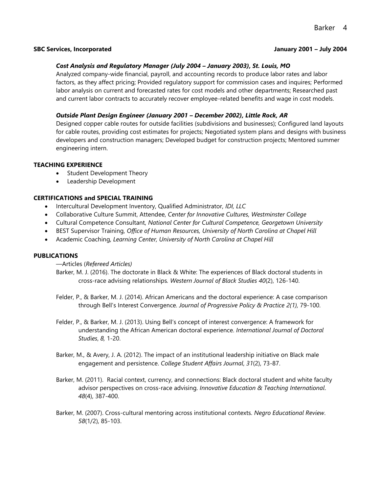#### **SBC Services, Incorporated January 2001 – July 2004**

# *Cost Analysis and Regulatory Manager (July 2004 – January 2003), St. Louis, MO*

Analyzed company-wide financial, payroll, and accounting records to produce labor rates and labor factors, as they affect pricing; Provided regulatory support for commission cases and inquires; Performed labor analysis on current and forecasted rates for cost models and other departments; Researched past and current labor contracts to accurately recover employee-related benefits and wage in cost models.

# *Outside Plant Design Engineer (January 2001 – December 2002), Little Rock, AR*

Designed copper cable routes for outside facilities (subdivisions and businesses); Configured land layouts for cable routes, providing cost estimates for projects; Negotiated system plans and designs with business developers and construction managers; Developed budget for construction projects; Mentored summer engineering intern.

#### **TEACHING EXPERIENCE**

- Student Development Theory
- Leadership Development

### **CERTIFICATIONS and SPECIAL TRAINING**

- Intercultural Development Inventory, Qualified Administrator, *IDI, LLC*
- Collaborative Culture Summit, Attendee, *Center for Innovative Cultures, Westminster College*
- Cultural Competence Consultant, *National Center for Cultural Competence, Georgetown University*
- BEST Supervisor Training, *Office of Human Resources, University of North Carolina at Chapel Hill*
- Academic Coaching, *Learning Center, University of North Carolina at Chapel Hill*

### **PUBLICATIONS**

—Articles (*Refereed Articles)*

Barker, M. J. (2016). The doctorate in Black & White: The experiences of Black doctoral students in cross-race advising relationships*. Western Journal of Black Studies 40*(2), 126-140.

- Felder, P., & Barker, M. J. (2014). African Americans and the doctoral experience: A case comparison through Bell's Interest Convergence*. Journal of Progressive Policy & Practice 2(1),* 79-100.
- Felder, P., & Barker, M. J. (2013). Using Bell's concept of interest convergence: A framework for understanding the African American doctoral experience. *International Journal of Doctoral Studies*, *8,* 1-20.
- Barker, M., & Avery, J. A. (2012). The impact of an institutional leadership initiative on Black male engagement and persistence. *College Student Affairs Journal*, *31*(2), 73-87.
- Barker, M. (2011). Racial context, currency, and connections: Black doctoral student and white faculty advisor perspectives on cross-race advising. *Innovative Education & Teaching International*. *48*(4), 387-400.
- Barker, M. (2007). Cross-cultural mentoring across institutional contexts. *Negro Educational Review*. *58*(1/2), 85-103.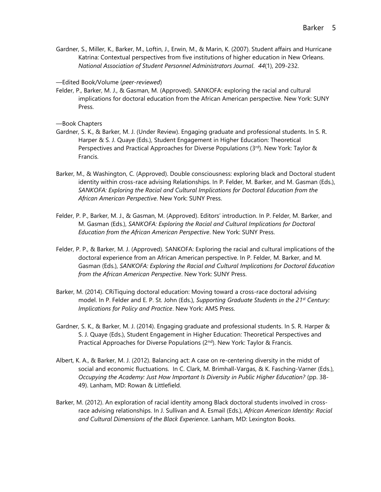Gardner, S., Miller, K., Barker, M., Loftin, J., Erwin, M., & Marin, K. (2007). Student affairs and Hurricane Katrina: Contextual perspectives from five institutions of higher education in New Orleans. *National Association of Student Personnel Administrators Journal*. *44*(1), 209-232.

—Edited Book/Volume (*peer-reviewed*)

Felder, P., Barker, M. J., & Gasman, M. (Approved). SANKOFA: exploring the racial and cultural implications for doctoral education from the African American perspective. New York: SUNY Press.

—Book Chapters

- Gardner, S. K., & Barker, M. J. (Under Review). Engaging graduate and professional students. In S. R. Harper & S. J. Quaye (Eds.), Student Engagement in Higher Education: Theoretical Perspectives and Practical Approaches for Diverse Populations (3rd). New York: Taylor & Francis.
- Barker, M., & Washington, C. (Approved). Double consciousness: exploring black and Doctoral student identity within cross-race advising Relationships. In P. Felder, M. Barker, and M. Gasman (Eds.), *SANKOFA: Exploring the Racial and Cultural Implications for Doctoral Education from the African American Perspective*. New York: SUNY Press.
- Felder, P. P., Barker, M. J., & Gasman, M. (Approved). Editors' introduction. In P. Felder, M. Barker, and M. Gasman (Eds.), *SANKOFA: Exploring the Racial and Cultural Implications for Doctoral Education from the African American Perspective*. New York: SUNY Press.
- Felder, P. P., & Barker, M. J. (Approved). SANKOFA: Exploring the racial and cultural implications of the doctoral experience from an African American perspective. In P. Felder, M. Barker, and M. Gasman (Eds.), *SANKOFA: Exploring the Racial and Cultural Implications for Doctoral Education from the African American Perspective*. New York: SUNY Press.
- Barker, M. (2014). CRiTiquing doctoral education: Moving toward a cross-race doctoral advising model. In P. Felder and E. P. St. John (Eds.), *Supporting Graduate Students in the 21st Century: Implications for Policy and Practice*. New York: AMS Press.
- Gardner, S. K., & Barker, M. J. (2014). Engaging graduate and professional students. In S. R. Harper & S. J. Quaye (Eds.), Student Engagement in Higher Education: Theoretical Perspectives and Practical Approaches for Diverse Populations (2<sup>nd</sup>). New York: Taylor & Francis.
- Albert, K. A., & Barker, M. J. (2012). Balancing act: A case on re-centering diversity in the midst of social and economic fluctuations. In C. Clark, M. Brimhall-Vargas, & K. Fasching-Varner (Eds.), *Occupying the Academy: Just How Important Is Diversity in Public Higher Education?* (pp. 38- 49). Lanham, MD: Rowan & Littlefield.
- Barker, M. (2012). An exploration of racial identity among Black doctoral students involved in crossrace advising relationships. In J. Sullivan and A. Esmail (Eds.), *African American Identity: Racial and Cultural Dimensions of the Black Experience*. Lanham, MD: Lexington Books.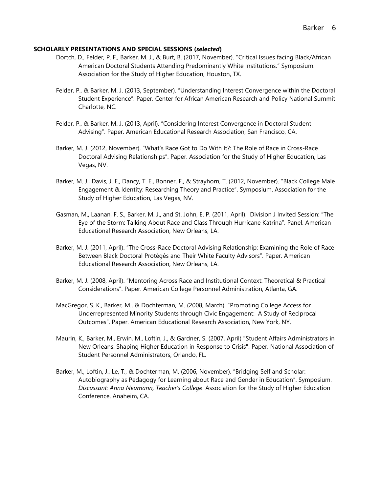#### **SCHOLARLY PRESENTATIONS AND SPECIAL SESSIONS (***selected***)**

- Dortch, D., Felder, P. F., Barker, M. J., & Burt, B. (2017, November). "Critical Issues facing Black/African American Doctoral Students Attending Predominantly White Institutions." Symposium. Association for the Study of Higher Education, Houston, TX.
- Felder, P., & Barker, M. J. (2013, September). "Understanding Interest Convergence within the Doctoral Student Experience". Paper. Center for African American Research and Policy National Summit Charlotte, NC.
- Felder, P., & Barker, M. J. (2013, April). "Considering Interest Convergence in Doctoral Student Advising". Paper. American Educational Research Association, San Francisco, CA.
- Barker, M. J. (2012, November). "What's Race Got to Do With It?: The Role of Race in Cross-Race Doctoral Advising Relationships". Paper. Association for the Study of Higher Education, Las Vegas, NV.
- Barker, M. J., Davis, J. E., Dancy, T. E., Bonner, F., & Strayhorn, T. (2012, November). "Black College Male Engagement & Identity: Researching Theory and Practice". Symposium. Association for the Study of Higher Education, Las Vegas, NV.
- Gasman, M., Laanan, F. S., Barker, M. J., and St. John, E. P. (2011, April). Division J Invited Session: "The Eye of the Storm: Talking About Race and Class Through Hurricane Katrina". Panel. American Educational Research Association, New Orleans, LA.
- Barker, M. J. (2011, April). "The Cross-Race Doctoral Advising Relationship: Examining the Role of Race Between Black Doctoral Protégés and Their White Faculty Advisors". Paper. American Educational Research Association, New Orleans, LA.
- Barker, M. J. (2008, April). "Mentoring Across Race and Institutional Context: Theoretical & Practical Considerations". Paper. American College Personnel Administration, Atlanta, GA.
- MacGregor, S. K., Barker, M., & Dochterman, M. (2008, March). "Promoting College Access for Underrepresented Minority Students through Civic Engagement: A Study of Reciprocal Outcomes". Paper. American Educational Research Association, New York, NY.
- Maurin, K., Barker, M., Erwin, M., Loftin, J., & Gardner, S. (2007, April) "Student Affairs Administrators in New Orleans: Shaping Higher Education in Response to Crisis". Paper. National Association of Student Personnel Administrators, Orlando, FL.
- Barker, M., Loftin, J., Le, T., & Dochterman, M. (2006, November). "Bridging Self and Scholar: Autobiography as Pedagogy for Learning about Race and Gender in Education". Symposium. *Discussant: Anna Neumann, Teacher's College*. Association for the Study of Higher Education Conference, Anaheim, CA.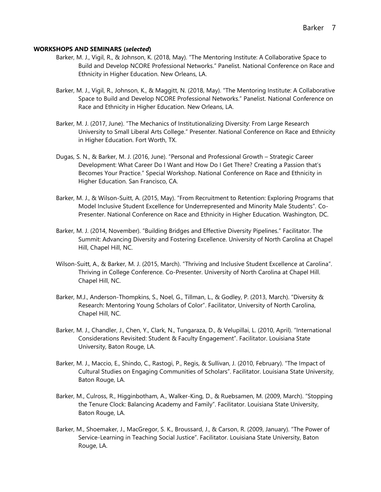#### **WORKSHOPS AND SEMINARS (***selected***)**

- Barker, M. J., Vigil, R., & Johnson, K. (2018, May). "The Mentoring Institute: A Collaborative Space to Build and Develop NCORE Professional Networks." Panelist. National Conference on Race and Ethnicity in Higher Education. New Orleans, LA.
- Barker, M. J., Vigil, R., Johnson, K., & Maggitt, N. (2018, May). "The Mentoring Institute: A Collaborative Space to Build and Develop NCORE Professional Networks." Panelist. National Conference on Race and Ethnicity in Higher Education. New Orleans, LA.
- Barker, M. J. (2017, June). "The Mechanics of Institutionalizing Diversity: From Large Research University to Small Liberal Arts College." Presenter. National Conference on Race and Ethnicity in Higher Education. Fort Worth, TX.
- Dugas, S. N., & Barker, M. J. (2016, June). "Personal and Professional Growth Strategic Career Development: What Career Do I Want and How Do I Get There? Creating a Passion that's Becomes Your Practice." Special Workshop. National Conference on Race and Ethnicity in Higher Education. San Francisco, CA.
- Barker, M. J., & Wilson-Suitt, A. (2015, May). "From Recruitment to Retention: Exploring Programs that Model Inclusive Student Excellence for Underrepresented and Minority Male Students". Co-Presenter. National Conference on Race and Ethnicity in Higher Education. Washington, DC.
- Barker, M. J. (2014, November). "Building Bridges and Effective Diversity Pipelines." Facilitator. The Summit: Advancing Diversity and Fostering Excellence. University of North Carolina at Chapel Hill, Chapel Hill, NC.
- Wilson-Suitt, A., & Barker, M. J. (2015, March). "Thriving and Inclusive Student Excellence at Carolina". Thriving in College Conference. Co-Presenter. University of North Carolina at Chapel Hill. Chapel Hill, NC.
- Barker, M.J., Anderson-Thompkins, S., Noel, G., Tillman, L., & Godley, P. (2013, March). "Diversity & Research: Mentoring Young Scholars of Color". Facilitator, University of North Carolina, Chapel Hill, NC.
- Barker, M. J., Chandler, J., Chen, Y., Clark, N., Tungaraza, D., & Velupillai, L. (2010, April). "International Considerations Revisited: Student & Faculty Engagement". Facilitator. Louisiana State University, Baton Rouge, LA.
- Barker, M. J., Maccio, E., Shindo, C., Rastogi, P., Regis, & Sullivan, J. (2010, February). "The Impact of Cultural Studies on Engaging Communities of Scholars". Facilitator. Louisiana State University, Baton Rouge, LA.
- Barker, M., Culross, R., Higginbotham, A., Walker-King, D., & Ruebsamen, M. (2009, March). "Stopping the Tenure Clock: Balancing Academy and Family". Facilitator. Louisiana State University, Baton Rouge, LA.
- Barker, M., Shoemaker, J., MacGregor, S. K., Broussard, J., & Carson, R. (2009, January). "The Power of Service-Learning in Teaching Social Justice". Facilitator. Louisiana State University, Baton Rouge, LA.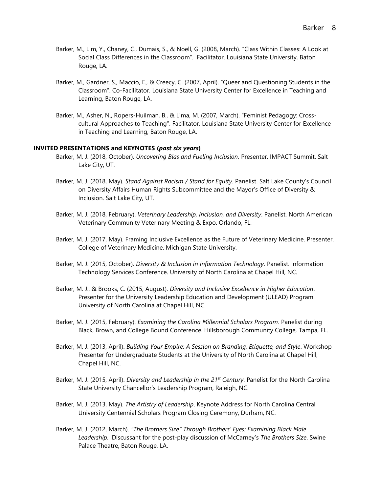- Barker, M., Lim, Y., Chaney, C., Dumais, S., & Noell, G. (2008, March). "Class Within Classes: A Look at Social Class Differences in the Classroom". Facilitator. Louisiana State University, Baton Rouge, LA.
- Barker, M., Gardner, S., Maccio, E., & Creecy, C. (2007, April). "Queer and Questioning Students in the Classroom". Co-Facilitator. Louisiana State University Center for Excellence in Teaching and Learning, Baton Rouge, LA.
- Barker, M., Asher, N., Ropers-Huilman, B., & Lima, M. (2007, March). "Feminist Pedagogy: Crosscultural Approaches to Teaching". Facilitator. Louisiana State University Center for Excellence in Teaching and Learning, Baton Rouge, LA.

#### **INVITED PRESENTATIONS and KEYNOTES (***past six years***)**

- Barker, M. J. (2018, October). *Uncovering Bias and Fueling Inclusion*. Presenter. IMPACT Summit. Salt Lake City, UT.
- Barker, M. J. (2018, May). *Stand Against Racism / Stand for Equity*. Panelist. Salt Lake County's Council on Diversity Affairs Human Rights Subcommittee and the Mayor's Office of Diversity & Inclusion. Salt Lake City, UT.
- Barker, M. J. (2018, February). *Veterinary Leadership, Inclusion, and Diversity*. Panelist. North American Veterinary Community Veterinary Meeting & Expo. Orlando, FL.
- Barker, M. J. (2017, May). Framing Inclusive Excellence as the Future of Veterinary Medicine. Presenter. College of Veterinary Medicine. Michigan State University.
- Barker, M. J. (2015, October). *Diversity & Inclusion in Information Technology*. Panelist. Information Technology Services Conference. University of North Carolina at Chapel Hill, NC.
- Barker, M. J., & Brooks, C. (2015, August). *Diversity and Inclusive Excellence in Higher Education*. Presenter for the University Leadership Education and Development (ULEAD) Program. University of North Carolina at Chapel Hill, NC.
- Barker, M. J. (2015, February). *Examining the Carolina Millennial Scholars Program*. Panelist during Black, Brown, and College Bound Conference. Hillsborough Community College, Tampa, FL.
- Barker, M. J. (2013, April). *Building Your Empire: A Session on Branding, Etiquette, and Style*. Workshop Presenter for Undergraduate Students at the University of North Carolina at Chapel Hill, Chapel Hill, NC.
- Barker, M. J. (2015, April). *Diversity and Leadership in the 21st Century*. Panelist for the North Carolina State University Chancellor's Leadership Program, Raleigh, NC.
- Barker, M. J. (2013, May). *The Artistry of Leadership*. Keynote Address for North Carolina Central University Centennial Scholars Program Closing Ceremony, Durham, NC.
- Barker, M. J. (2012, March). *"The Brothers Size" Through Brothers' Eyes: Examining Black Male Leadership*. Discussant for the post-play discussion of McCarney's *The Brothers Size*. Swine Palace Theatre, Baton Rouge, LA.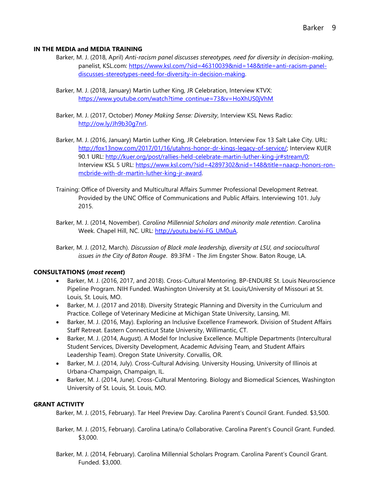### **IN THE MEDIA and MEDIA TRAINING**

- Barker, M. J. (2018, April) *Anti-racism panel discusses stereotypes, need for diversity in decision-making*, panelist, KSL.com: [https://www.ksl.com/?sid=46310039&nid=148&title=anti-racism-panel](https://www.ksl.com/?sid=46310039&nid=148&title=anti-racism-panel-discusses-stereotypes-need-for-diversity-in-decision-making)[discusses-stereotypes-need-for-diversity-in-decision-making.](https://www.ksl.com/?sid=46310039&nid=148&title=anti-racism-panel-discusses-stereotypes-need-for-diversity-in-decision-making)
- Barker, M. J. (2018, January) Martin Luther King, JR Celebration, Interview KTVX: [https://www.youtube.com/watch?time\\_continue=73&v=HoXhUS0jVhM](https://www.youtube.com/watch?time_continue=73&v=HoXhUS0jVhM)
- Barker, M. J. (2017, October) *Money Making Sense: Diversity*, Interview KSL News Radio: [http://ow.ly/Jh9b30g7nrI.](http://ow.ly/Jh9b30g7nrI)
- Barker, M. J. (2016, January) Martin Luther King, JR Celebration. Interview Fox 13 Salt Lake City. URL: [http://fox13now.com/2017/01/16/utahns-honor-dr-kings-legacy-of-service/;](http://fox13now.com/2017/01/16/utahns-honor-dr-kings-legacy-of-service/) Interview KUER 90.1 URL: [http://kuer.org/post/rallies-held-celebrate-martin-luther-king-jr#stream/0;](http://kuer.org/post/rallies-held-celebrate-martin-luther-king-jr#stream/0)  Interview KSL 5 URL: [https://www.ksl.com/?sid=42897302&nid=148&title=naacp-honors-ron](https://www.ksl.com/?sid=42897302&nid=148&title=naacp-honors-ron-mcbride-with-dr-martin-luther-king-jr-award)[mcbride-with-dr-martin-luther-king-jr-award.](https://www.ksl.com/?sid=42897302&nid=148&title=naacp-honors-ron-mcbride-with-dr-martin-luther-king-jr-award)
- Training: Office of Diversity and Multicultural Affairs Summer Professional Development Retreat. Provided by the UNC Office of Communications and Public Affairs. Interviewing 101. July 2015.
- Barker, M. J. (2014, November). *Carolina Millennial Scholars and minority male retention*. Carolina Week. Chapel Hill, NC. URL: [http://youtu.be/xi-FG\\_UM0uA.](http://youtu.be/xi-FG_UM0uA)
- Barker, M. J. (2012, March). *Discussion of Black male leadership, diversity at LSU, and sociocultural issues in the City of Baton Rouge*. 89.3FM - The Jim Engster Show. Baton Rouge, LA.

# **CONSULTATIONS (***most recent***)**

- Barker, M. J. (2016, 2017, and 2018). Cross-Cultural Mentoring. BP-ENDURE St. Louis Neuroscience Pipeline Program. NIH Funded. Washington University at St. Louis/University of Missouri at St. Louis, St. Louis, MO.
- Barker, M. J. (2017 and 2018). Diversity Strategic Planning and Diversity in the Curriculum and Practice. College of Veterinary Medicine at Michigan State University, Lansing, MI.
- Barker, M. J. (2016, May). Exploring an Inclusive Excellence Framework. Division of Student Affairs Staff Retreat. Eastern Connecticut State University, Willimantic, CT.
- Barker, M. J. (2014, August). A Model for Inclusive Excellence. Multiple Departments (Intercultural Student Services, Diversity Development, Academic Advising Team, and Student Affairs Leadership Team). Oregon State University. Corvallis, OR.
- Barker, M. J. (2014, July). Cross-Cultural Advising. University Housing, University of Illinois at Urbana-Champaign, Champaign, IL.
- Barker, M. J. (2014, June). Cross-Cultural Mentoring. Biology and Biomedical Sciences, Washington University of St. Louis, St. Louis, MO.

# **GRANT ACTIVITY**

Barker, M. J. (2015, February). Tar Heel Preview Day. Carolina Parent's Council Grant. Funded. \$3,500.

- Barker, M. J. (2015, February). Carolina Latina/o Collaborative. Carolina Parent's Council Grant. Funded. \$3,000.
- Barker, M. J. (2014, February). Carolina Millennial Scholars Program. Carolina Parent's Council Grant. Funded. \$3,000.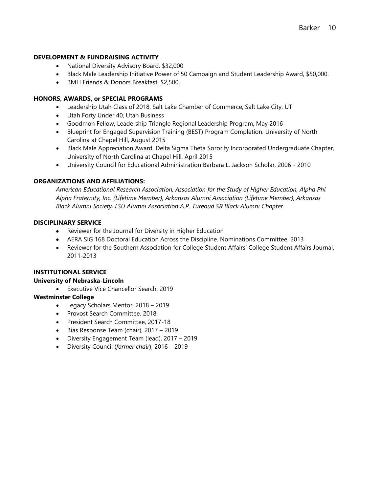### **DEVELOPMENT & FUNDRAISING ACTIVITY**

- National Diversity Advisory Board. \$32,000
- Black Male Leadership Initiative Power of 50 Campaign and Student Leadership Award, \$50,000.
- BMLI Friends & Donors Breakfast, \$2,500.

### **HONORS, AWARDS, or SPECIAL PROGRAMS**

- Leadership Utah Class of 2018, Salt Lake Chamber of Commerce, Salt Lake City, UT
- Utah Forty Under 40, Utah Business
- Goodmon Fellow, Leadership Triangle Regional Leadership Program, May 2016
- Blueprint for Engaged Supervision Training (BEST) Program Completion. University of North Carolina at Chapel Hill, August 2015
- Black Male Appreciation Award, Delta Sigma Theta Sorority Incorporated Undergraduate Chapter, University of North Carolina at Chapel Hill, April 2015
- University Council for Educational Administration Barbara L. Jackson Scholar, 2006 2010

### **ORGANIZATIONS AND AFFILIATIONS:**

*American Educational Research Association, Association for the Study of Higher Education, Alpha Phi Alpha Fraternity, Inc. (Lifetime Member), Arkansas Alumni Association (Lifetime Member), Arkansas Black Alumni Society, LSU Alumni Association A.P. Tureaud SR Black Alumni Chapter*

### **DISCIPLINARY SERVICE**

- Reviewer for the Journal for Diversity in Higher Education
- AERA SIG 168 Doctoral Education Across the Discipline. Nominations Committee. 2013
- Reviewer for the Southern Association for College Student Affairs' College Student Affairs Journal, 2011-2013

### **INSTITUTIONAL SERVICE**

### **University of Nebraska-Lincoln**

Executive Vice Chancellor Search, 2019

### **Westminster College**

- Legacy Scholars Mentor, 2018 2019
- Provost Search Committee, 2018
- President Search Committee, 2017-18
- Bias Response Team (chair), 2017 2019
- Diversity Engagement Team (lead), 2017 2019
- Diversity Council (*former chair*), 2016 2019